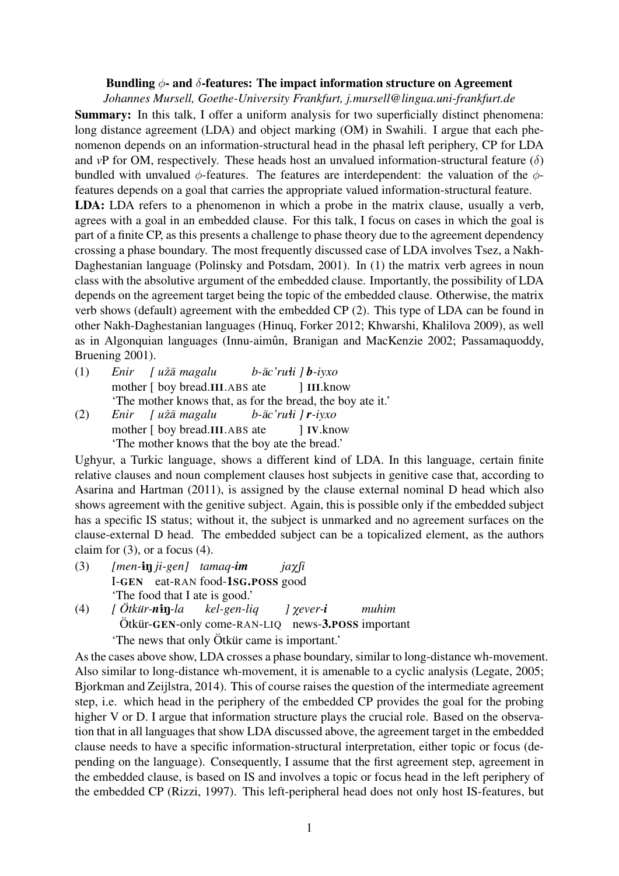## Bundling  $\phi$ - and  $\delta$ -features: The impact information structure on Agreement

*Johannes Mursell, Goethe-University Frankfurt, j.mursell@lingua.uni-frankfurt.de*

Summary: In this talk, I offer a uniform analysis for two superficially distinct phenomena: long distance agreement (LDA) and object marking (OM) in Swahili. I argue that each phenomenon depends on an information-structural head in the phasal left periphery, CP for LDA and *vP* for OM, respectively. These heads host an unvalued information-structural feature  $(\delta)$ bundled with unvalued  $\phi$ -features. The features are interdependent: the valuation of the  $\phi$ features depends on a goal that carries the appropriate valued information-structural feature. LDA: LDA refers to a phenomenon in which a probe in the matrix clause, usually a verb, agrees with a goal in an embedded clause. For this talk, I focus on cases in which the goal is part of a finite CP, as this presents a challenge to phase theory due to the agreement dependency crossing a phase boundary. The most frequently discussed case of LDA involves Tsez, a Nakh-Daghestanian language (Polinsky and Potsdam, 2001). In (1) the matrix verb agrees in noun class with the absolutive argument of the embedded clause. Importantly, the possibility of LDA depends on the agreement target being the topic of the embedded clause. Otherwise, the matrix verb shows (default) agreement with the embedded CP (2). This type of LDA can be found in other Nakh-Daghestanian languages (Hinuq, Forker 2012; Khwarshi, Khalilova 2009), as well as in Algonquian languages (Innu-aimûn, Branigan and MacKenzie 2002; Passamaquoddy,

Bruening 2001).

(1) *Enir* mother [ boy bread.III.ABS ate *[ u*ˇz¯a *magalu b-*¯a*c'ru*ì*i ] b-iyxo* ] III.know 'The mother knows that, as for the bread, the boy ate it.' (2) *Enir* mother [ boy bread.III.ABS ate *[ u*ˇz¯a *magalu b-*¯a*c'ru*ì*i ] r-iyxo* ] IV.know

'The mother knows that the boy ate the bread.'

Ughyur, a Turkic language, shows a different kind of LDA. In this language, certain finite relative clauses and noun complement clauses host subjects in genitive case that, according to Asarina and Hartman (2011), is assigned by the clause external nominal D head which also shows agreement with the genitive subject. Again, this is possible only if the embedded subject has a specific IS status; without it, the subject is unmarked and no agreement surfaces on the clause-external D head. The embedded subject can be a topicalized element, as the authors claim for  $(3)$ , or a focus  $(4)$ .

- (3) *[men-*1N *ji-gen] tamaq-im* I-GEN eat-RAN food-1SG.POSS good  $jaxfi$ 'The food that I ate is good.'
- (4) *[ Otk ¨ ur- ¨ n*1N*-la* Ötkür-GEN-only come-RAN-LIQ news-3.POSS important *kel-gen-liq ]* X*ever-i muhim* The news that only Ötkür came is important.'

As the cases above show, LDA crosses a phase boundary, similar to long-distance wh-movement. Also similar to long-distance wh-movement, it is amenable to a cyclic analysis (Legate, 2005; Bjorkman and Zeijlstra, 2014). This of course raises the question of the intermediate agreement step, i.e. which head in the periphery of the embedded CP provides the goal for the probing higher V or D. I argue that information structure plays the crucial role. Based on the observation that in all languages that show LDA discussed above, the agreement target in the embedded clause needs to have a specific information-structural interpretation, either topic or focus (depending on the language). Consequently, I assume that the first agreement step, agreement in the embedded clause, is based on IS and involves a topic or focus head in the left periphery of the embedded CP (Rizzi, 1997). This left-peripheral head does not only host IS-features, but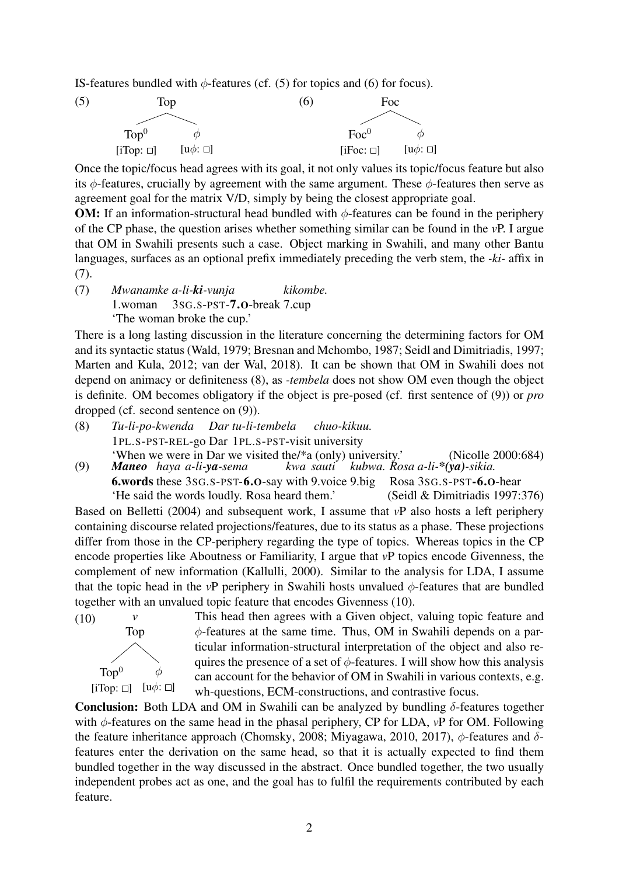IS-features bundled with  $\phi$ -features (cf. (5) for topics and (6) for focus).



Once the topic/focus head agrees with its goal, it not only values its topic/focus feature but also its  $\phi$ -features, crucially by agreement with the same argument. These  $\phi$ -features then serve as agreement goal for the matrix V/D, simply by being the closest appropriate goal.

**OM:** If an information-structural head bundled with  $\phi$ -features can be found in the periphery of the CP phase, the question arises whether something similar can be found in the *v*P. I argue that OM in Swahili presents such a case. Object marking in Swahili, and many other Bantu languages, surfaces as an optional prefix immediately preceding the verb stem, the *-ki-* affix in (7).

(7) *Mwanamke a-li-ki-vunja* 1.woman 3SG.S-PST-7.O-break 7.cup *kikombe.* 'The woman broke the cup.'

There is a long lasting discussion in the literature concerning the determining factors for OM and its syntactic status (Wald, 1979; Bresnan and Mchombo, 1987; Seidl and Dimitriadis, 1997; Marten and Kula, 2012; van der Wal, 2018). It can be shown that OM in Swahili does not depend on animacy or definiteness (8), as *-tembela* does not show OM even though the object is definite. OM becomes obligatory if the object is pre-posed (cf. first sentence of (9)) or *pro* dropped (cf. second sentence on (9)).

- (8) *Tu-li-po-kwenda* 1PL.S-PST-REL-go Dar 1PL.S-PST-visit university *Dar tu-li-tembela chuo-kikuu.* 'When we were in Dar we visited the/\*a (only) university.' (Nicolle 2000:684)
- (9) *Maneo haya a-li-ya-sema* 6.words these 3SG.S-PST-6.O-say with 9.voice 9.big Rosa 3SG.S-PST-6.O-hear *kwa sauti kubwa. Rosa a-li-\*(ya)-sikia.* 'He said the words loudly. Rosa heard them.' (Seidl & Dimitriadis 1997:376)

Based on Belletti (2004) and subsequent work, I assume that *v*P also hosts a left periphery containing discourse related projections/features, due to its status as a phase. These projections differ from those in the CP-periphery regarding the type of topics. Whereas topics in the CP encode properties like Aboutness or Familiarity, I argue that *v*P topics encode Givenness, the complement of new information (Kallulli, 2000). Similar to the analysis for LDA, I assume that the topic head in the *vP* periphery in Swahili hosts unvalued  $\phi$ -features that are bundled together with an unvalued topic feature that encodes Givenness (10).



This head then agrees with a Given object, valuing topic feature and φ-features at the same time. Thus, OM in Swahili depends on a particular information-structural interpretation of the object and also requires the presence of a set of  $\phi$ -features. I will show how this analysis can account for the behavior of OM in Swahili in various contexts, e.g. wh-questions, ECM-constructions, and contrastive focus.

Conclusion: Both LDA and OM in Swahili can be analyzed by bundling  $\delta$ -features together with φ-features on the same head in the phasal periphery, CP for LDA, *v*P for OM. Following the feature inheritance approach (Chomsky, 2008; Miyagawa, 2010, 2017),  $\phi$ -features and  $\delta$ features enter the derivation on the same head, so that it is actually expected to find them bundled together in the way discussed in the abstract. Once bundled together, the two usually independent probes act as one, and the goal has to fulfil the requirements contributed by each feature.